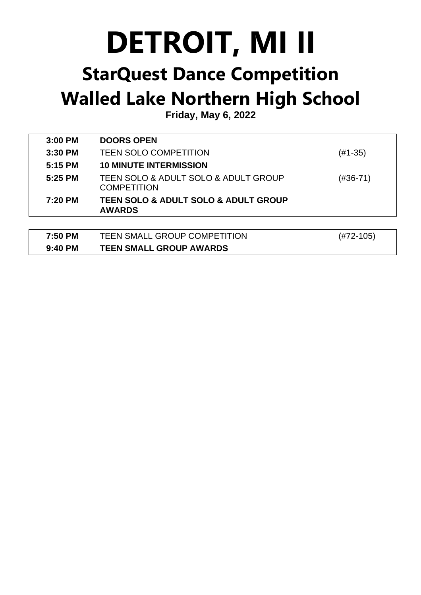## **DETROIT, MI II**

## **StarQuest Dance Competition Walled Lake Northern High School**

**Friday, May 6, 2022**

| 3:00 PM   | <b>DOORS OPEN</b>                                                    |           |
|-----------|----------------------------------------------------------------------|-----------|
| 3:30 PM   | <b>TEEN SOLO COMPETITION</b>                                         | (#1-35)   |
| 5:15 PM   | <b>10 MINUTE INTERMISSION</b>                                        |           |
| $5:25$ PM | TEEN SOLO & ADULT SOLO & ADULT GROUP<br><b>COMPETITION</b>           | (#36-71)  |
| 7:20 PM   | <b>TEEN SOLO &amp; ADULT SOLO &amp; ADULT GROUP</b><br><b>AWARDS</b> |           |
|           |                                                                      |           |
| 7:50 PM   | <b>TEEN SMALL GROUP COMPETITION</b>                                  | (#72-105) |
| 9:40 PM   | <b>TEEN SMALL GROUP AWARDS</b>                                       |           |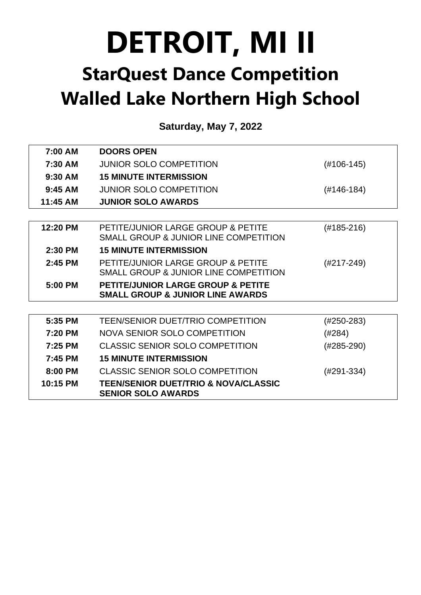## **DETROIT, MI II StarQuest Dance Competition Walled Lake Northern High School**

**Saturday, May 7, 2022**

| 7:00 AM   | <b>DOORS OPEN</b>                                                                            |              |
|-----------|----------------------------------------------------------------------------------------------|--------------|
| 7:30 AM   | <b>JUNIOR SOLO COMPETITION</b>                                                               | $(H106-145)$ |
| $9:30$ AM | <b>15 MINUTE INTERMISSION</b>                                                                |              |
| $9:45$ AM | <b>JUNIOR SOLO COMPETITION</b>                                                               | $(#146-184)$ |
| 11:45 AM  | <b>JUNIOR SOLO AWARDS</b>                                                                    |              |
|           |                                                                                              |              |
| 12:20 PM  | PETITE/JUNIOR LARGE GROUP & PETITE<br>SMALL GROUP & JUNIOR LINE COMPETITION                  | $(#185-216)$ |
| 2:30 PM   | <b>15 MINUTE INTERMISSION</b>                                                                |              |
| 2:45 PM   | PETITE/JUNIOR LARGE GROUP & PETITE<br>SMALL GROUP & JUNIOR LINE COMPETITION                  | $(H217-249)$ |
| 5:00 PM   | <b>PETITE/JUNIOR LARGE GROUP &amp; PETITE</b><br><b>SMALL GROUP &amp; JUNIOR LINE AWARDS</b> |              |
|           |                                                                                              |              |
| 5:35 PM   | <b>TEEN/SENIOR DUET/TRIO COMPETITION</b>                                                     | $(H250-283)$ |
| 7:20 PM   | NOVA SENIOR SOLO COMPETITION                                                                 | (#284)       |
| 7:25 PM   | <b>CLASSIC SENIOR SOLO COMPETITION</b>                                                       | $(#285-290)$ |
| 7:45 PM   | <b>15 MINUTE INTERMISSION</b>                                                                |              |
| 8:00 PM   | <b>CLASSIC SENIOR SOLO COMPETITION</b>                                                       | $(H291-334)$ |
| 10:15 PM  | <b>TEEN/SENIOR DUET/TRIO &amp; NOVA/CLASSIC</b><br><b>SENIOR SOLO AWARDS</b>                 |              |